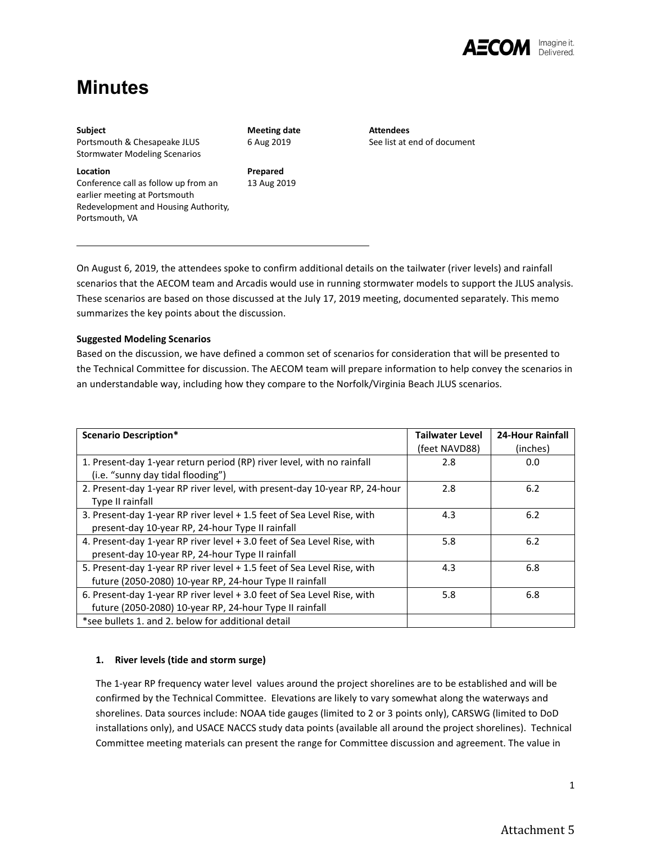

# **Minutes**

Portsmouth, VA

#### **Subject**

Portsmouth & Chesapeake JLUS Stormwater Modeling Scenarios

**Location** Conference call as follow up from an earlier meeting at Portsmouth Redevelopment and Housing Authority, **Meeting date** 6 Aug 2019

**Prepared** 13 Aug 2019 **Attendees** See list at end of document

On August 6, 2019, the attendees spoke to confirm additional details on the tailwater (river levels) and rainfall scenarios that the AECOM team and Arcadis would use in running stormwater models to support the JLUS analysis. These scenarios are based on those discussed at the July 17, 2019 meeting, documented separately. This memo summarizes the key points about the discussion.

# **Suggested Modeling Scenarios**

Based on the discussion, we have defined a common set of scenarios for consideration that will be presented to the Technical Committee for discussion. The AECOM team will prepare information to help convey the scenarios in an understandable way, including how they compare to the Norfolk/Virginia Beach JLUS scenarios.

| <b>Scenario Description*</b>                                               | <b>Tailwater Level</b><br>(feet NAVD88) | <b>24-Hour Rainfall</b><br>(inches) |
|----------------------------------------------------------------------------|-----------------------------------------|-------------------------------------|
|                                                                            |                                         |                                     |
| 1. Present-day 1-year return period (RP) river level, with no rainfall     | 2.8                                     | 0.0                                 |
| (i.e. "sunny day tidal flooding")                                          |                                         |                                     |
| 2. Present-day 1-year RP river level, with present-day 10-year RP, 24-hour | 2.8                                     | 6.2                                 |
| Type II rainfall                                                           |                                         |                                     |
| 3. Present-day 1-year RP river level + 1.5 feet of Sea Level Rise, with    | 4.3                                     | 6.2                                 |
| present-day 10-year RP, 24-hour Type II rainfall                           |                                         |                                     |
| 4. Present-day 1-year RP river level + 3.0 feet of Sea Level Rise, with    | 5.8                                     | 6.2                                 |
| present-day 10-year RP, 24-hour Type II rainfall                           |                                         |                                     |
| 5. Present-day 1-year RP river level + 1.5 feet of Sea Level Rise, with    | 4.3                                     | 6.8                                 |
| future (2050-2080) 10-year RP, 24-hour Type II rainfall                    |                                         |                                     |
| 6. Present-day 1-year RP river level + 3.0 feet of Sea Level Rise, with    | 5.8                                     | 6.8                                 |
| future (2050-2080) 10-year RP, 24-hour Type II rainfall                    |                                         |                                     |
| *see bullets 1, and 2, below for additional detail                         |                                         |                                     |

# **1. River levels (tide and storm surge)**

The 1-year RP frequency water level values around the project shorelines are to be established and will be confirmed by the Technical Committee. Elevations are likely to vary somewhat along the waterways and shorelines. Data sources include: NOAA tide gauges (limited to 2 or 3 points only), CARSWG (limited to DoD installations only), and USACE NACCS study data points (available all around the project shorelines). Technical Committee meeting materials can present the range for Committee discussion and agreement. The value in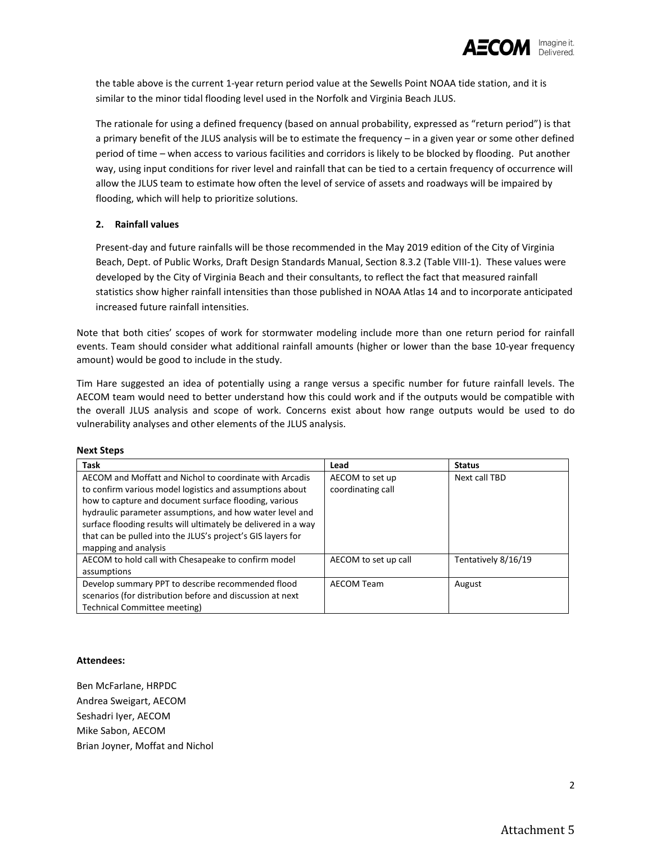

the table above is the current 1-year return period value at the Sewells Point NOAA tide station, and it is similar to the minor tidal flooding level used in the Norfolk and Virginia Beach JLUS.

The rationale for using a defined frequency (based on annual probability, expressed as "return period") is that a primary benefit of the JLUS analysis will be to estimate the frequency – in a given year or some other defined period of time – when access to various facilities and corridors is likely to be blocked by flooding. Put another way, using input conditions for river level and rainfall that can be tied to a certain frequency of occurrence will allow the JLUS team to estimate how often the level of service of assets and roadways will be impaired by flooding, which will help to prioritize solutions.

## **2. Rainfall values**

Present-day and future rainfalls will be those recommended in the May 2019 edition of the City of Virginia Beach, Dept. of Public Works, Draft Design Standards Manual, Section 8.3.2 (Table VIII-1). These values were developed by the City of Virginia Beach and their consultants, to reflect the fact that measured rainfall statistics show higher rainfall intensities than those published in NOAA Atlas 14 and to incorporate anticipated increased future rainfall intensities.

Note that both cities' scopes of work for stormwater modeling include more than one return period for rainfall events. Team should consider what additional rainfall amounts (higher or lower than the base 10-year frequency amount) would be good to include in the study.

Tim Hare suggested an idea of potentially using a range versus a specific number for future rainfall levels. The AECOM team would need to better understand how this could work and if the outputs would be compatible with the overall JLUS analysis and scope of work. Concerns exist about how range outputs would be used to do vulnerability analyses and other elements of the JLUS analysis.

| Task                                                           | Lead                 | <b>Status</b>       |
|----------------------------------------------------------------|----------------------|---------------------|
| AECOM and Moffatt and Nichol to coordinate with Arcadis        | AECOM to set up      | Next call TBD       |
| to confirm various model logistics and assumptions about       | coordinating call    |                     |
| how to capture and document surface flooding, various          |                      |                     |
| hydraulic parameter assumptions, and how water level and       |                      |                     |
| surface flooding results will ultimately be delivered in a way |                      |                     |
| that can be pulled into the JLUS's project's GIS layers for    |                      |                     |
| mapping and analysis                                           |                      |                     |
| AECOM to hold call with Chesapeake to confirm model            | AECOM to set up call | Tentatively 8/16/19 |
| assumptions                                                    |                      |                     |
| Develop summary PPT to describe recommended flood              | <b>AECOM Team</b>    | August              |
| scenarios (for distribution before and discussion at next      |                      |                     |
| Technical Committee meeting)                                   |                      |                     |

### **Next Steps**

#### **Attendees:**

Ben McFarlane, HRPDC Andrea Sweigart, AECOM Seshadri Iyer, AECOM Mike Sabon, AECOM Brian Joyner, Moffat and Nichol